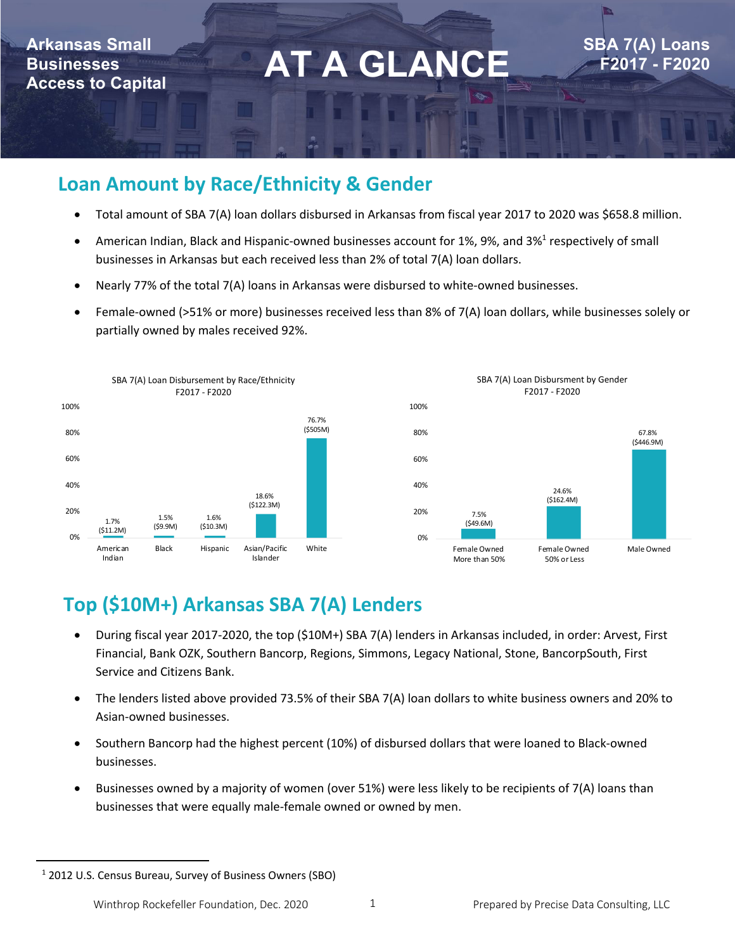## **Arkansas Small Businesses**

**AT A GLANCE**<br>Access to Capital **AT A GLANCE** 

**SBA 7(A) Loans F2017 - F2020**

## **Loan Amount by Race/Ethnicity & Gender**

- Total amount of SBA 7(A) loan dollars disbursed in Arkansas from fiscal year 2017 to 2020 was \$658.8 million.
- American Indian, Black and Hispanic-owned businesses account for 1%, 9%, and 3%<sup>1</sup> respectively of small businesses in Arkansas but each received less than 2% of total 7(A) loan dollars.
- Nearly 77% of the total 7(A) loans in Arkansas were disbursed to white-owned businesses.
- Female-owned (>51% or more) businesses received less than 8% of 7(A) loan dollars, while businesses solely or partially owned by males received 92%.



## **Top (\$10M+) Arkansas SBA 7(A) Lenders**

- During fiscal year 2017-2020, the top (\$10M+) SBA 7(A) lenders in Arkansas included, in order: Arvest, First Financial, Bank OZK, Southern Bancorp, Regions, Simmons, Legacy National, Stone, BancorpSouth, First Service and Citizens Bank.
- The lenders listed above provided 73.5% of their SBA 7(A) loan dollars to white business owners and 20% to Asian-owned businesses.
- Southern Bancorp had the highest percent (10%) of disbursed dollars that were loaned to Black-owned businesses.
- Businesses owned by a majority of women (over 51%) were less likely to be recipients of 7(A) loans than businesses that were equally male-female owned or owned by men.

<sup>&</sup>lt;sup>1</sup> 2012 U.S. Census Bureau, Survey of Business Owners (SBO)